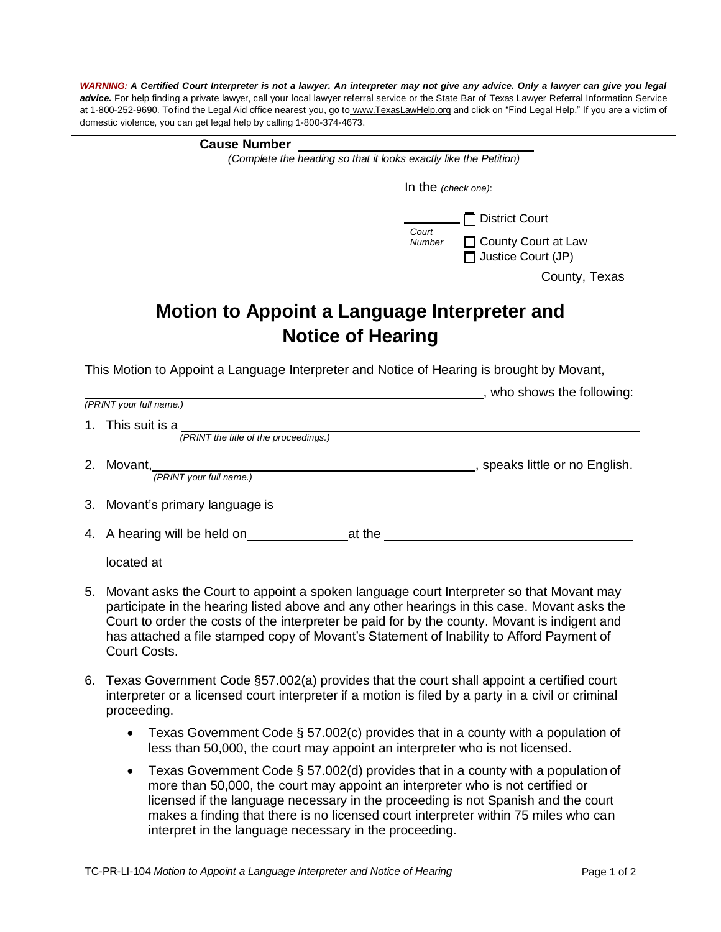WARNING: A Certified Court Interpreter is not a lawyer. An interpreter may not give any advice. Only a lawyer can give you legal advice. For help finding a private lawyer, call your local lawyer referral service or the State Bar of Texas Lawyer Referral Information Service at 1-800-252-9690. To find the Legal Aid office nearest you, go to [www.TexasLawHelp.org](http://www.texaslawhelp.org/) and click on "Find Legal Help." If you are a victim of domestic violence, you can get legal help by calling 1-800-374-4673.

| <b>Cause Number</b> |  |
|---------------------|--|
|---------------------|--|

*(Complete the heading so that it looks exactly like the Petition)*

| In the $(check one)$ : |                                                                             |  |  |
|------------------------|-----------------------------------------------------------------------------|--|--|
| Court<br>Number        | $\Box$ District Court<br>□ County Court at Law<br>$\Box$ Justice Court (JP) |  |  |
|                        | County, Texas                                                               |  |  |

## **Motion to Appoint a Language Interpreter and Notice of Hearing**

This Motion to Appoint a Language Interpreter and Notice of Hearing is brought by Movant,

|    |                                                            | , who shows the following:     |
|----|------------------------------------------------------------|--------------------------------|
|    | (PRINT your full name.)                                    |                                |
|    | 1. This suit is a<br>(PRINT the title of the proceedings.) |                                |
| 2. | Movant,<br>(PRINT your full name.)                         | , speaks little or no English. |
|    | 3. Movant's primary language is ________                   |                                |
|    | 4. A hearing will be held on                               | at the                         |
|    | located at                                                 |                                |

- 5. Movant asks the Court to appoint a spoken language court Interpreter so that Movant may participate in the hearing listed above and any other hearings in this case. Movant asks the Court to order the costs of the interpreter be paid for by the county. Movant is indigent and has attached a file stamped copy of Movant's Statement of Inability to Afford Payment of Court Costs.
- 6. Texas Government Code §57.002(a) provides that the court shall appoint a certified court interpreter or a licensed court interpreter if a motion is filed by a party in a civil or criminal proceeding.
	- **•** Texas Government Code § 57.002(c) provides that in a county with a population of less than 50,000, the court may appoint an interpreter who is not licensed.
	- Texas Government Code § 57.002(d) provides that in a county with a population of more than 50,000, the court may appoint an interpreter who is not certified or licensed if the language necessary in the proceeding is not Spanish and the court makes a finding that there is no licensed court interpreter within 75 miles who can interpret in the language necessary in the proceeding.